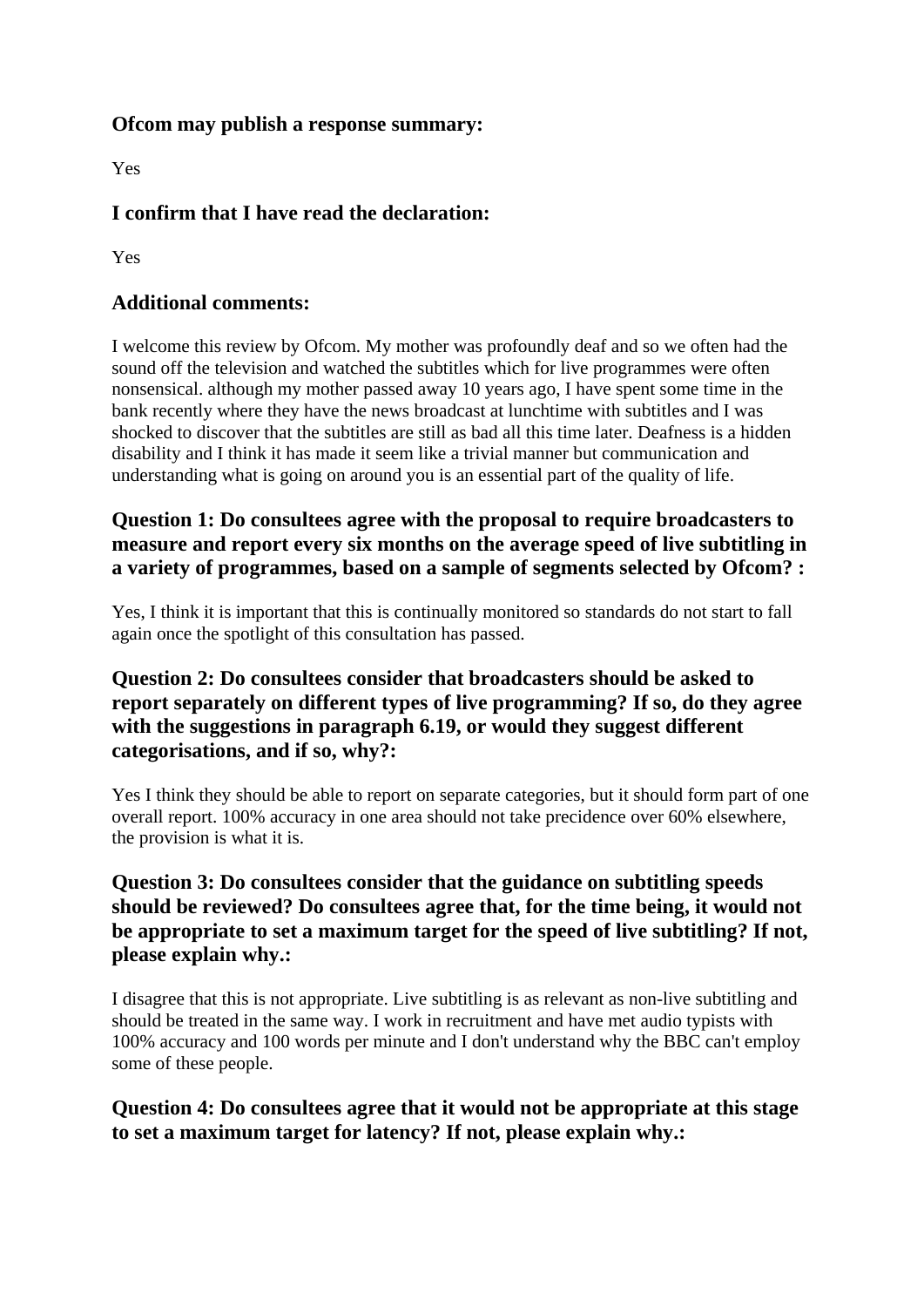#### **Ofcom may publish a response summary:**

Yes

# **I confirm that I have read the declaration:**

Yes

### **Additional comments:**

I welcome this review by Ofcom. My mother was profoundly deaf and so we often had the sound off the television and watched the subtitles which for live programmes were often nonsensical. although my mother passed away 10 years ago, I have spent some time in the bank recently where they have the news broadcast at lunchtime with subtitles and I was shocked to discover that the subtitles are still as bad all this time later. Deafness is a hidden disability and I think it has made it seem like a trivial manner but communication and understanding what is going on around you is an essential part of the quality of life.

## **Question 1: Do consultees agree with the proposal to require broadcasters to measure and report every six months on the average speed of live subtitling in a variety of programmes, based on a sample of segments selected by Ofcom? :**

Yes, I think it is important that this is continually monitored so standards do not start to fall again once the spotlight of this consultation has passed.

### **Question 2: Do consultees consider that broadcasters should be asked to report separately on different types of live programming? If so, do they agree with the suggestions in paragraph 6.19, or would they suggest different categorisations, and if so, why?:**

Yes I think they should be able to report on separate categories, but it should form part of one overall report. 100% accuracy in one area should not take precidence over 60% elsewhere, the provision is what it is.

## **Question 3: Do consultees consider that the guidance on subtitling speeds should be reviewed? Do consultees agree that, for the time being, it would not be appropriate to set a maximum target for the speed of live subtitling? If not, please explain why.:**

I disagree that this is not appropriate. Live subtitling is as relevant as non-live subtitling and should be treated in the same way. I work in recruitment and have met audio typists with 100% accuracy and 100 words per minute and I don't understand why the BBC can't employ some of these people.

## **Question 4: Do consultees agree that it would not be appropriate at this stage to set a maximum target for latency? If not, please explain why.:**